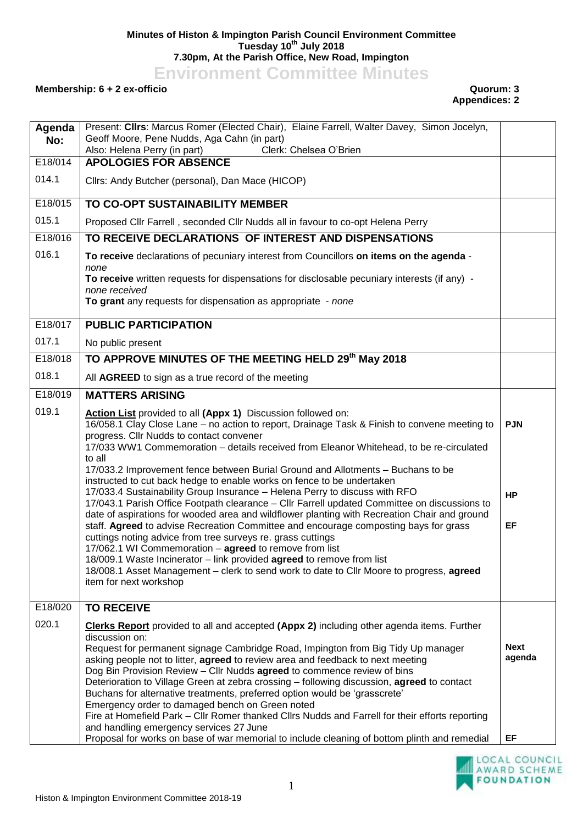## **Minutes of Histon & Impington Parish Council Environment Committee Tuesday 10th July 2018 7.30pm, At the Parish Office, New Road, Impington**

**Environment Committee Minutes**

## **Membership: 6 + 2 ex-officio Quorum: 3**

## **Appendices: 2**

| Agenda  | Present: Clirs: Marcus Romer (Elected Chair), Elaine Farrell, Walter Davey, Simon Jocelyn,                                                                                                                                                                                                                                                                                                                                                                                                                                                           |                       |
|---------|------------------------------------------------------------------------------------------------------------------------------------------------------------------------------------------------------------------------------------------------------------------------------------------------------------------------------------------------------------------------------------------------------------------------------------------------------------------------------------------------------------------------------------------------------|-----------------------|
| No:     | Geoff Moore, Pene Nudds, Aga Cahn (in part)<br>Also: Helena Perry (in part)<br>Clerk: Chelsea O'Brien                                                                                                                                                                                                                                                                                                                                                                                                                                                |                       |
| E18/014 | <b>APOLOGIES FOR ABSENCE</b>                                                                                                                                                                                                                                                                                                                                                                                                                                                                                                                         |                       |
| 014.1   | Cllrs: Andy Butcher (personal), Dan Mace (HICOP)                                                                                                                                                                                                                                                                                                                                                                                                                                                                                                     |                       |
| E18/015 | TO CO-OPT SUSTAINABILITY MEMBER                                                                                                                                                                                                                                                                                                                                                                                                                                                                                                                      |                       |
| 015.1   | Proposed Cllr Farrell, seconded Cllr Nudds all in favour to co-opt Helena Perry                                                                                                                                                                                                                                                                                                                                                                                                                                                                      |                       |
| E18/016 | TO RECEIVE DECLARATIONS OF INTEREST AND DISPENSATIONS                                                                                                                                                                                                                                                                                                                                                                                                                                                                                                |                       |
| 016.1   | To receive declarations of pecuniary interest from Councillors on items on the agenda -                                                                                                                                                                                                                                                                                                                                                                                                                                                              |                       |
|         | none<br>To receive written requests for dispensations for disclosable pecuniary interests (if any) -                                                                                                                                                                                                                                                                                                                                                                                                                                                 |                       |
|         | none received<br>To grant any requests for dispensation as appropriate - none                                                                                                                                                                                                                                                                                                                                                                                                                                                                        |                       |
| E18/017 | <b>PUBLIC PARTICIPATION</b>                                                                                                                                                                                                                                                                                                                                                                                                                                                                                                                          |                       |
| 017.1   | No public present                                                                                                                                                                                                                                                                                                                                                                                                                                                                                                                                    |                       |
| E18/018 | TO APPROVE MINUTES OF THE MEETING HELD 29th May 2018                                                                                                                                                                                                                                                                                                                                                                                                                                                                                                 |                       |
| 018.1   | All AGREED to sign as a true record of the meeting                                                                                                                                                                                                                                                                                                                                                                                                                                                                                                   |                       |
| E18/019 | <b>MATTERS ARISING</b>                                                                                                                                                                                                                                                                                                                                                                                                                                                                                                                               |                       |
| 019.1   | Action List provided to all (Appx 1) Discussion followed on:<br>16/058.1 Clay Close Lane - no action to report, Drainage Task & Finish to convene meeting to<br>progress. Cllr Nudds to contact convener<br>17/033 WW1 Commemoration - details received from Eleanor Whitehead, to be re-circulated<br>to all                                                                                                                                                                                                                                        | <b>PJN</b>            |
|         | 17/033.2 Improvement fence between Burial Ground and Allotments - Buchans to be<br>instructed to cut back hedge to enable works on fence to be undertaken<br>17/033.4 Sustainability Group Insurance - Helena Perry to discuss with RFO<br>17/043.1 Parish Office Footpath clearance - Cllr Farrell updated Committee on discussions to<br>date of aspirations for wooded area and wildflower planting with Recreation Chair and ground<br>staff. Agreed to advise Recreation Committee and encourage composting bays for grass                      | <b>HP</b><br>EF       |
|         | cuttings noting advice from tree surveys re. grass cuttings<br>17/062.1 WI Commemoration - agreed to remove from list<br>18/009.1 Waste Incinerator - link provided agreed to remove from list<br>18/008.1 Asset Management - clerk to send work to date to Cllr Moore to progress, agreed<br>item for next workshop                                                                                                                                                                                                                                 |                       |
| E18/020 | <b>TO RECEIVE</b>                                                                                                                                                                                                                                                                                                                                                                                                                                                                                                                                    |                       |
| 020.1   | Clerks Report provided to all and accepted (Appx 2) including other agenda items. Further<br>discussion on:<br>Request for permanent signage Cambridge Road, Impington from Big Tidy Up manager<br>asking people not to litter, agreed to review area and feedback to next meeting                                                                                                                                                                                                                                                                   | <b>Next</b><br>agenda |
|         | Dog Bin Provision Review - Cllr Nudds agreed to commence review of bins<br>Deterioration to Village Green at zebra crossing - following discussion, agreed to contact<br>Buchans for alternative treatments, preferred option would be 'grasscrete'<br>Emergency order to damaged bench on Green noted<br>Fire at Homefield Park - Cllr Romer thanked Cllrs Nudds and Farrell for their efforts reporting<br>and handling emergency services 27 June<br>Proposal for works on base of war memorial to include cleaning of bottom plinth and remedial | EF                    |

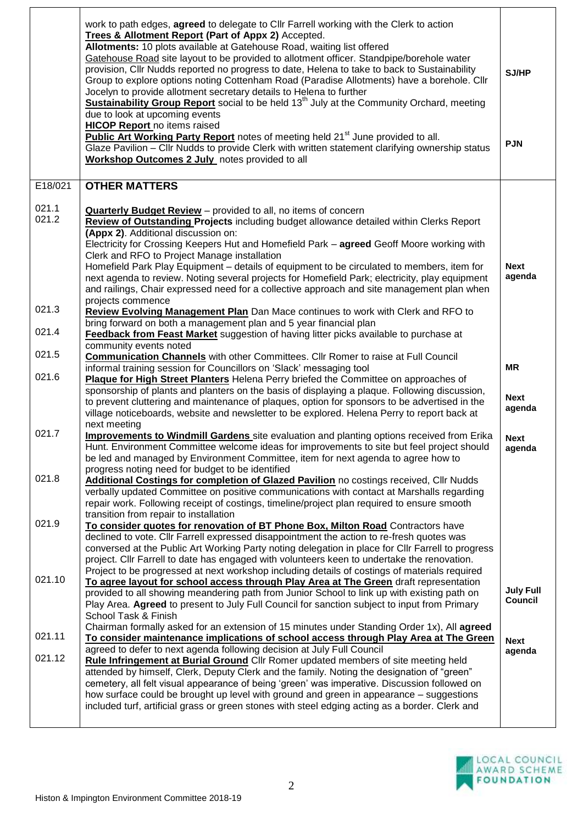|                | work to path edges, agreed to delegate to Cllr Farrell working with the Clerk to action<br>Trees & Allotment Report (Part of Appx 2) Accepted.<br>Allotments: 10 plots available at Gatehouse Road, waiting list offered<br>Gatehouse Road site layout to be provided to allotment officer. Standpipe/borehole water<br>provision, Cllr Nudds reported no progress to date, Helena to take to back to Sustainability<br>Group to explore options noting Cottenham Road (Paradise Allotments) have a borehole. Cllr<br>Jocelyn to provide allotment secretary details to Helena to further<br>Sustainability Group Report social to be held 13 <sup>th</sup> July at the Community Orchard, meeting<br>due to look at upcoming events<br><b>HICOP Report</b> no items raised<br><b>Public Art Working Party Report</b> notes of meeting held 21 <sup>st</sup> June provided to all.<br>Glaze Pavilion - Cllr Nudds to provide Clerk with written statement clarifying ownership status<br>Workshop Outcomes 2 July notes provided to all | SJ/HP<br><b>PJN</b>                |
|----------------|-----------------------------------------------------------------------------------------------------------------------------------------------------------------------------------------------------------------------------------------------------------------------------------------------------------------------------------------------------------------------------------------------------------------------------------------------------------------------------------------------------------------------------------------------------------------------------------------------------------------------------------------------------------------------------------------------------------------------------------------------------------------------------------------------------------------------------------------------------------------------------------------------------------------------------------------------------------------------------------------------------------------------------------------|------------------------------------|
| E18/021        | <b>OTHER MATTERS</b>                                                                                                                                                                                                                                                                                                                                                                                                                                                                                                                                                                                                                                                                                                                                                                                                                                                                                                                                                                                                                    |                                    |
| 021.1<br>021.2 | <b>Quarterly Budget Review</b> – provided to all, no items of concern<br>Review of Outstanding Projects including budget allowance detailed within Clerks Report<br>(Appx 2). Additional discussion on:<br>Electricity for Crossing Keepers Hut and Homefield Park - agreed Geoff Moore working with<br>Clerk and RFO to Project Manage installation<br>Homefield Park Play Equipment – details of equipment to be circulated to members, item for<br>next agenda to review. Noting several projects for Homefield Park; electricity, play equipment<br>and railings, Chair expressed need for a collective approach and site management plan when                                                                                                                                                                                                                                                                                                                                                                                      | <b>Next</b><br>agenda              |
| 021.3          | projects commence<br>Review Evolving Management Plan Dan Mace continues to work with Clerk and RFO to                                                                                                                                                                                                                                                                                                                                                                                                                                                                                                                                                                                                                                                                                                                                                                                                                                                                                                                                   |                                    |
| 021.4          | bring forward on both a management plan and 5 year financial plan<br>Feedback from Feast Market suggestion of having litter picks available to purchase at                                                                                                                                                                                                                                                                                                                                                                                                                                                                                                                                                                                                                                                                                                                                                                                                                                                                              |                                    |
| 021.5          | community events noted<br><b>Communication Channels</b> with other Committees. Cllr Romer to raise at Full Council                                                                                                                                                                                                                                                                                                                                                                                                                                                                                                                                                                                                                                                                                                                                                                                                                                                                                                                      |                                    |
| 021.6          | informal training session for Councillors on 'Slack' messaging tool<br>Plaque for High Street Planters Helena Perry briefed the Committee on approaches of<br>sponsorship of plants and planters on the basis of displaying a plaque. Following discussion,<br>to prevent cluttering and maintenance of plaques, option for sponsors to be advertised in the<br>village noticeboards, website and newsletter to be explored. Helena Perry to report back at                                                                                                                                                                                                                                                                                                                                                                                                                                                                                                                                                                             | <b>MR</b><br><b>Next</b><br>agenda |
| 021.7          | next meeting<br><b>Improvements to Windmill Gardens</b> site evaluation and planting options received from Erika<br>Hunt. Environment Committee welcome ideas for improvements to site but feel project should<br>be led and managed by Environment Committee, item for next agenda to agree how to                                                                                                                                                                                                                                                                                                                                                                                                                                                                                                                                                                                                                                                                                                                                     | <b>Next</b><br>agenda              |
| 021.8          | progress noting need for budget to be identified<br>Additional Costings for completion of Glazed Pavilion no costings received, Cllr Nudds<br>verbally updated Committee on positive communications with contact at Marshalls regarding<br>repair work. Following receipt of costings, timeline/project plan required to ensure smooth                                                                                                                                                                                                                                                                                                                                                                                                                                                                                                                                                                                                                                                                                                  |                                    |
| 021.9          | transition from repair to installation<br>To consider quotes for renovation of BT Phone Box, Milton Road Contractors have<br>declined to vote. Cllr Farrell expressed disappointment the action to re-fresh quotes was<br>conversed at the Public Art Working Party noting delegation in place for Cllr Farrell to progress<br>project. Cllr Farrell to date has engaged with volunteers keen to undertake the renovation.<br>Project to be progressed at next workshop including details of costings of materials required                                                                                                                                                                                                                                                                                                                                                                                                                                                                                                             |                                    |
| 021.10         | To agree layout for school access through Play Area at The Green draft representation<br>provided to all showing meandering path from Junior School to link up with existing path on<br>Play Area. Agreed to present to July Full Council for sanction subject to input from Primary<br>School Task & Finish<br>Chairman formally asked for an extension of 15 minutes under Standing Order 1x), All agreed                                                                                                                                                                                                                                                                                                                                                                                                                                                                                                                                                                                                                             | <b>July Full</b><br><b>Council</b> |
| 021.11         | To consider maintenance implications of school access through Play Area at The Green<br>agreed to defer to next agenda following decision at July Full Council                                                                                                                                                                                                                                                                                                                                                                                                                                                                                                                                                                                                                                                                                                                                                                                                                                                                          | <b>Next</b><br>agenda              |
| 021.12         | Rule Infringement at Burial Ground Cllr Romer updated members of site meeting held<br>attended by himself, Clerk, Deputy Clerk and the family. Noting the designation of "green"<br>cemetery, all felt visual appearance of being 'green' was imperative. Discussion followed on<br>how surface could be brought up level with ground and green in appearance - suggestions<br>included turf, artificial grass or green stones with steel edging acting as a border. Clerk and                                                                                                                                                                                                                                                                                                                                                                                                                                                                                                                                                          |                                    |



 $\overline{\phantom{a}}$